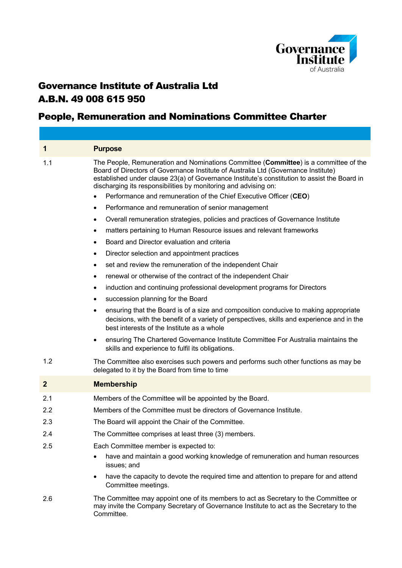

# Governance Institute of Australia Ltd A.B.N. 49 008 615 950

## People, Remuneration and Nominations Committee Charter

| 1              | <b>Purpose</b>                                                                                                                                                                                                                                                                                                                                |
|----------------|-----------------------------------------------------------------------------------------------------------------------------------------------------------------------------------------------------------------------------------------------------------------------------------------------------------------------------------------------|
| 1.1            | The People, Remuneration and Nominations Committee (Committee) is a committee of the<br>Board of Directors of Governance Institute of Australia Ltd (Governance Institute)<br>established under clause 23(a) of Governance Institute's constitution to assist the Board in<br>discharging its responsibilities by monitoring and advising on: |
|                | Performance and remuneration of the Chief Executive Officer (CEO)                                                                                                                                                                                                                                                                             |
|                | Performance and remuneration of senior management<br>٠                                                                                                                                                                                                                                                                                        |
|                | Overall remuneration strategies, policies and practices of Governance Institute<br>$\bullet$                                                                                                                                                                                                                                                  |
|                | matters pertaining to Human Resource issues and relevant frameworks<br>٠                                                                                                                                                                                                                                                                      |
|                | Board and Director evaluation and criteria<br>$\bullet$                                                                                                                                                                                                                                                                                       |
|                | Director selection and appointment practices<br>٠                                                                                                                                                                                                                                                                                             |
|                | set and review the remuneration of the independent Chair<br>٠                                                                                                                                                                                                                                                                                 |
|                | renewal or otherwise of the contract of the independent Chair                                                                                                                                                                                                                                                                                 |
|                | induction and continuing professional development programs for Directors<br>٠                                                                                                                                                                                                                                                                 |
|                | succession planning for the Board<br>٠                                                                                                                                                                                                                                                                                                        |
|                | ensuring that the Board is of a size and composition conducive to making appropriate<br>٠<br>decisions, with the benefit of a variety of perspectives, skills and experience and in the<br>best interests of the Institute as a whole                                                                                                         |
|                | ensuring The Chartered Governance Institute Committee For Australia maintains the<br>٠<br>skills and experience to fulfil its obligations.                                                                                                                                                                                                    |
| 1.2            | The Committee also exercises such powers and performs such other functions as may be<br>delegated to it by the Board from time to time                                                                                                                                                                                                        |
| $\overline{2}$ | <b>Membership</b>                                                                                                                                                                                                                                                                                                                             |
| 2.1            | Members of the Committee will be appointed by the Board.                                                                                                                                                                                                                                                                                      |
| 2.2            | Members of the Committee must be directors of Governance Institute.                                                                                                                                                                                                                                                                           |
| 2.3            | The Board will appoint the Chair of the Committee.                                                                                                                                                                                                                                                                                            |
| 2.4            | The Committee comprises at least three (3) members.                                                                                                                                                                                                                                                                                           |
| 2.5            | Each Committee member is expected to:                                                                                                                                                                                                                                                                                                         |
|                | have and maintain a good working knowledge of remuneration and human resources<br>issues; and                                                                                                                                                                                                                                                 |
|                | have the capacity to devote the required time and attention to prepare for and attend<br>$\bullet$<br>Committee meetings.                                                                                                                                                                                                                     |
| 2.6            | The Committee may appoint one of its members to act as Secretary to the Committee or<br>may invite the Company Secretary of Governance Institute to act as the Secretary to the<br>Committee.                                                                                                                                                 |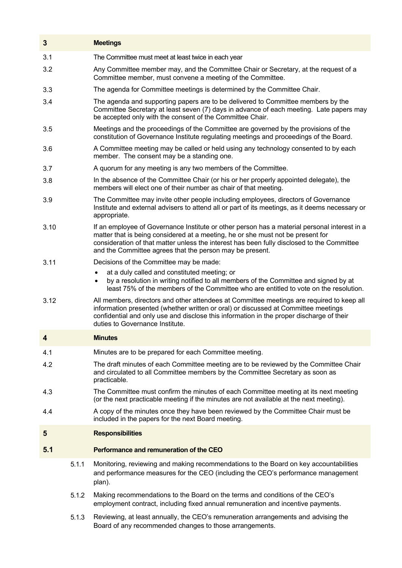| 3    |       | <b>Meetings</b>                                                                                                                                                                                                                                                                                                                           |
|------|-------|-------------------------------------------------------------------------------------------------------------------------------------------------------------------------------------------------------------------------------------------------------------------------------------------------------------------------------------------|
| 3.1  |       | The Committee must meet at least twice in each year                                                                                                                                                                                                                                                                                       |
| 3.2  |       | Any Committee member may, and the Committee Chair or Secretary, at the request of a<br>Committee member, must convene a meeting of the Committee.                                                                                                                                                                                         |
| 3.3  |       | The agenda for Committee meetings is determined by the Committee Chair.                                                                                                                                                                                                                                                                   |
| 3.4  |       | The agenda and supporting papers are to be delivered to Committee members by the<br>Committee Secretary at least seven (7) days in advance of each meeting. Late papers may<br>be accepted only with the consent of the Committee Chair.                                                                                                  |
| 3.5  |       | Meetings and the proceedings of the Committee are governed by the provisions of the<br>constitution of Governance Institute regulating meetings and proceedings of the Board.                                                                                                                                                             |
| 3.6  |       | A Committee meeting may be called or held using any technology consented to by each<br>member. The consent may be a standing one.                                                                                                                                                                                                         |
| 3.7  |       | A quorum for any meeting is any two members of the Committee.                                                                                                                                                                                                                                                                             |
| 3.8  |       | In the absence of the Committee Chair (or his or her properly appointed delegate), the<br>members will elect one of their number as chair of that meeting.                                                                                                                                                                                |
| 3.9  |       | The Committee may invite other people including employees, directors of Governance<br>Institute and external advisers to attend all or part of its meetings, as it deems necessary or<br>appropriate.                                                                                                                                     |
| 3.10 |       | If an employee of Governance Institute or other person has a material personal interest in a<br>matter that is being considered at a meeting, he or she must not be present for<br>consideration of that matter unless the interest has been fully disclosed to the Committee<br>and the Committee agrees that the person may be present. |
| 3.11 |       | Decisions of the Committee may be made:                                                                                                                                                                                                                                                                                                   |
|      |       | at a duly called and constituted meeting; or<br>by a resolution in writing notified to all members of the Committee and signed by at<br>$\bullet$<br>least 75% of the members of the Committee who are entitled to vote on the resolution.                                                                                                |
| 3.12 |       | All members, directors and other attendees at Committee meetings are required to keep all<br>information presented (whether written or oral) or discussed at Committee meetings<br>confidential and only use and disclose this information in the proper discharge of their<br>duties to Governance Institute.                            |
| 4    |       | <b>Minutes</b>                                                                                                                                                                                                                                                                                                                            |
| 4.1  |       | Minutes are to be prepared for each Committee meeting.                                                                                                                                                                                                                                                                                    |
| 4.2  |       | The draft minutes of each Committee meeting are to be reviewed by the Committee Chair<br>and circulated to all Committee members by the Committee Secretary as soon as<br>practicable.                                                                                                                                                    |
| 4.3  |       | The Committee must confirm the minutes of each Committee meeting at its next meeting<br>(or the next practicable meeting if the minutes are not available at the next meeting).                                                                                                                                                           |
| 4.4  |       | A copy of the minutes once they have been reviewed by the Committee Chair must be<br>included in the papers for the next Board meeting.                                                                                                                                                                                                   |
| 5    |       | <b>Responsibilities</b>                                                                                                                                                                                                                                                                                                                   |
| 5.1  |       | Performance and remuneration of the CEO                                                                                                                                                                                                                                                                                                   |
|      | 5.1.1 | Monitoring, reviewing and making recommendations to the Board on key accountabilities<br>and performance measures for the CEO (including the CEO's performance management<br>plan).                                                                                                                                                       |
|      | 5.1.2 | Making recommendations to the Board on the terms and conditions of the CEO's<br>employment contract, including fixed annual remuneration and incentive payments.                                                                                                                                                                          |
|      | 5.1.3 | Reviewing, at least annually, the CEO's remuneration arrangements and advising the<br>Board of any recommended changes to those arrangements.                                                                                                                                                                                             |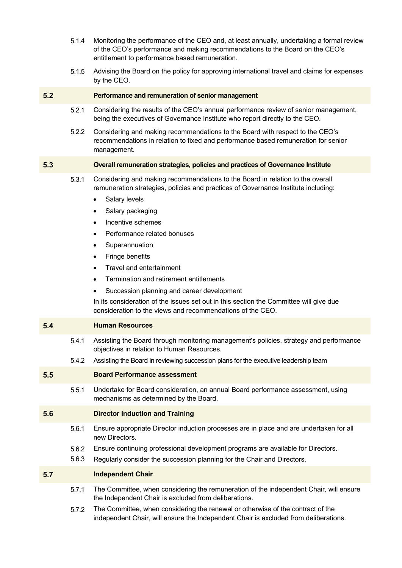- 5.1.4 Monitoring the performance of the CEO and, at least annually, undertaking a formal review of the CEO's performance and making recommendations to the Board on the CEO's entitlement to performance based remuneration.
- 5.1.5 Advising the Board on the policy for approving international travel and claims for expenses by the CEO.

### **5.2 Performance and remuneration of senior management**

- 5.2.1 Considering the results of the CEO's annual performance review of senior management, being the executives of Governance Institute who report directly to the CEO.
- 5.2.2 Considering and making recommendations to the Board with respect to the CEO's recommendations in relation to fixed and performance based remuneration for senior management.

## **5.3 Overall remuneration strategies, policies and practices of Governance Institute**

- 5.3.1 Considering and making recommendations to the Board in relation to the overall remuneration strategies, policies and practices of Governance Institute including:
	- Salary levels
	- Salary packaging
	- Incentive schemes
	- Performance related bonuses
	- Superannuation
	- Fringe benefits
	- Travel and entertainment
	- Termination and retirement entitlements
	- Succession planning and career development

In its consideration of the issues set out in this section the Committee will give due consideration to the views and recommendations of the CEO.

#### **5.4 Human Resources**

- 5.4.1 Assisting the Board through monitoring management's policies, strategy and performance objectives in relation to Human Resources.
- 5.4.2 Assisting the Board in reviewing succession plans for the executive leadership team

## **5.5 Board Performance assessment**

5.5.1 Undertake for Board consideration, an annual Board performance assessment, using mechanisms as determined by the Board.

## **5.6 Director Induction and Training**

- 5.6.1 Ensure appropriate Director induction processes are in place and are undertaken for all new Directors.
- 5.6.2 Ensure continuing professional development programs are available for Directors.
- 5.6.3 Regularly consider the succession planning for the Chair and Directors.

## **5.7 Independent Chair**

- 5.7.1 The Committee, when considering the remuneration of the independent Chair, will ensure the Independent Chair is excluded from deliberations.
- 5.7.2 The Committee, when considering the renewal or otherwise of the contract of the independent Chair, will ensure the Independent Chair is excluded from deliberations.